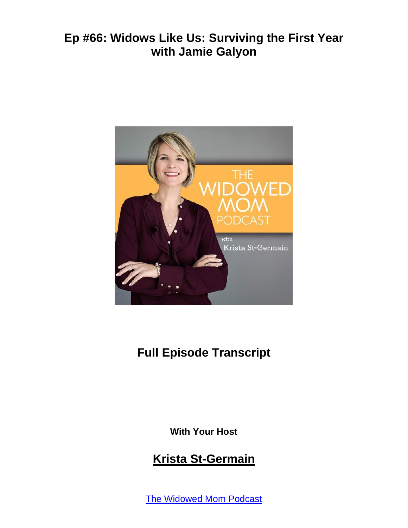

# **Full Episode Transcript**

**With Your Host**

#### **Krista St-Germain**

The [Widowed](https://coachingwithkrista.com/podcast) Mom Podcast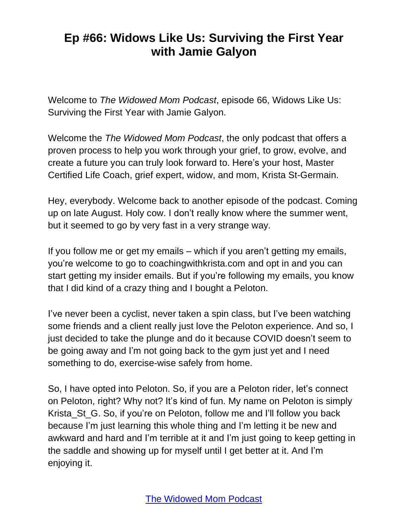Welcome to *The Widowed Mom Podcast*, episode 66, Widows Like Us: Surviving the First Year with Jamie Galyon.

Welcome the *The Widowed Mom Podcast*, the only podcast that offers a proven process to help you work through your grief, to grow, evolve, and create a future you can truly look forward to. Here's your host, Master Certified Life Coach, grief expert, widow, and mom, Krista St-Germain.

Hey, everybody. Welcome back to another episode of the podcast. Coming up on late August. Holy cow. I don't really know where the summer went, but it seemed to go by very fast in a very strange way.

If you follow me or get my emails – which if you aren't getting my emails, you're welcome to go to coachingwithkrista.com and opt in and you can start getting my insider emails. But if you're following my emails, you know that I did kind of a crazy thing and I bought a Peloton.

I've never been a cyclist, never taken a spin class, but I've been watching some friends and a client really just love the Peloton experience. And so, I just decided to take the plunge and do it because COVID doesn't seem to be going away and I'm not going back to the gym just yet and I need something to do, exercise-wise safely from home.

So, I have opted into Peloton. So, if you are a Peloton rider, let's connect on Peloton, right? Why not? It's kind of fun. My name on Peloton is simply Krista\_St\_G. So, if you're on Peloton, follow me and I'll follow you back because I'm just learning this whole thing and I'm letting it be new and awkward and hard and I'm terrible at it and I'm just going to keep getting in the saddle and showing up for myself until I get better at it. And I'm enjoying it.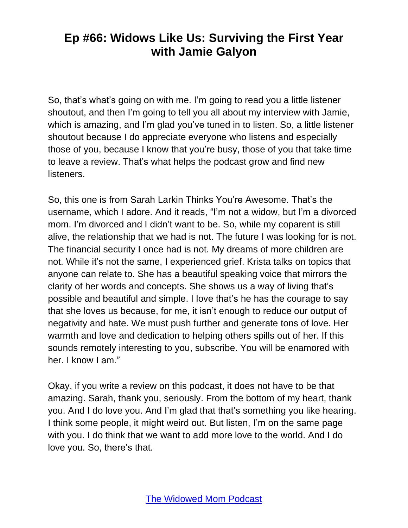So, that's what's going on with me. I'm going to read you a little listener shoutout, and then I'm going to tell you all about my interview with Jamie, which is amazing, and I'm glad you've tuned in to listen. So, a little listener shoutout because I do appreciate everyone who listens and especially those of you, because I know that you're busy, those of you that take time to leave a review. That's what helps the podcast grow and find new listeners.

So, this one is from Sarah Larkin Thinks You're Awesome. That's the username, which I adore. And it reads, "I'm not a widow, but I'm a divorced mom. I'm divorced and I didn't want to be. So, while my coparent is still alive, the relationship that we had is not. The future I was looking for is not. The financial security I once had is not. My dreams of more children are not. While it's not the same, I experienced grief. Krista talks on topics that anyone can relate to. She has a beautiful speaking voice that mirrors the clarity of her words and concepts. She shows us a way of living that's possible and beautiful and simple. I love that's he has the courage to say that she loves us because, for me, it isn't enough to reduce our output of negativity and hate. We must push further and generate tons of love. Her warmth and love and dedication to helping others spills out of her. If this sounds remotely interesting to you, subscribe. You will be enamored with her. I know I am."

Okay, if you write a review on this podcast, it does not have to be that amazing. Sarah, thank you, seriously. From the bottom of my heart, thank you. And I do love you. And I'm glad that that's something you like hearing. I think some people, it might weird out. But listen, I'm on the same page with you. I do think that we want to add more love to the world. And I do love you. So, there's that.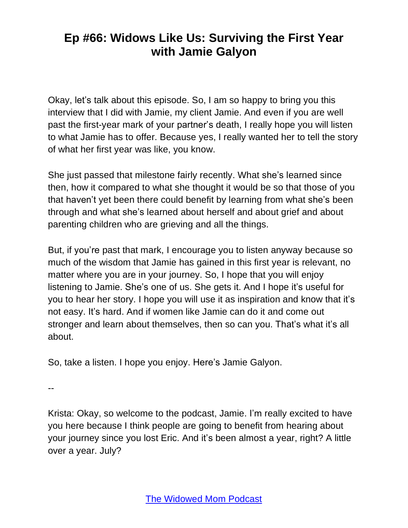Okay, let's talk about this episode. So, I am so happy to bring you this interview that I did with Jamie, my client Jamie. And even if you are well past the first-year mark of your partner's death, I really hope you will listen to what Jamie has to offer. Because yes, I really wanted her to tell the story of what her first year was like, you know.

She just passed that milestone fairly recently. What she's learned since then, how it compared to what she thought it would be so that those of you that haven't yet been there could benefit by learning from what she's been through and what she's learned about herself and about grief and about parenting children who are grieving and all the things.

But, if you're past that mark, I encourage you to listen anyway because so much of the wisdom that Jamie has gained in this first year is relevant, no matter where you are in your journey. So, I hope that you will enjoy listening to Jamie. She's one of us. She gets it. And I hope it's useful for you to hear her story. I hope you will use it as inspiration and know that it's not easy. It's hard. And if women like Jamie can do it and come out stronger and learn about themselves, then so can you. That's what it's all about.

So, take a listen. I hope you enjoy. Here's Jamie Galyon.

--

Krista: Okay, so welcome to the podcast, Jamie. I'm really excited to have you here because I think people are going to benefit from hearing about your journey since you lost Eric. And it's been almost a year, right? A little over a year. July?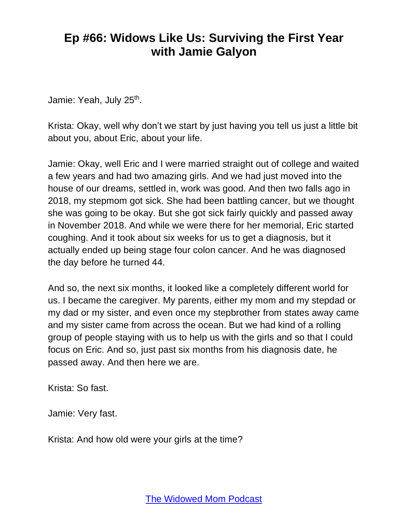Jamie: Yeah, July 25<sup>th</sup>.

Krista: Okay, well why don't we start by just having you tell us just a little bit about you, about Eric, about your life.

Jamie: Okay, well Eric and I were married straight out of college and waited a few years and had two amazing girls. And we had just moved into the house of our dreams, settled in, work was good. And then two falls ago in 2018, my stepmom got sick. She had been battling cancer, but we thought she was going to be okay. But she got sick fairly quickly and passed away in November 2018. And while we were there for her memorial, Eric started coughing. And it took about six weeks for us to get a diagnosis, but it actually ended up being stage four colon cancer. And he was diagnosed the day before he turned 44.

And so, the next six months, it looked like a completely different world for us. I became the caregiver. My parents, either my mom and my stepdad or my dad or my sister, and even once my stepbrother from states away came and my sister came from across the ocean. But we had kind of a rolling group of people staying with us to help us with the girls and so that I could focus on Eric. And so, just past six months from his diagnosis date, he passed away. And then here we are.

Krista: So fast.

Jamie: Very fast.

Krista: And how old were your girls at the time?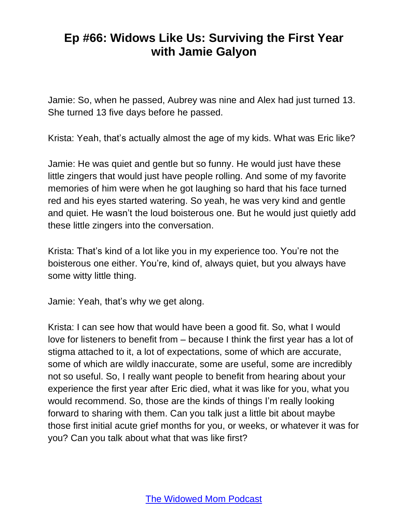Jamie: So, when he passed, Aubrey was nine and Alex had just turned 13. She turned 13 five days before he passed.

Krista: Yeah, that's actually almost the age of my kids. What was Eric like?

Jamie: He was quiet and gentle but so funny. He would just have these little zingers that would just have people rolling. And some of my favorite memories of him were when he got laughing so hard that his face turned red and his eyes started watering. So yeah, he was very kind and gentle and quiet. He wasn't the loud boisterous one. But he would just quietly add these little zingers into the conversation.

Krista: That's kind of a lot like you in my experience too. You're not the boisterous one either. You're, kind of, always quiet, but you always have some witty little thing.

Jamie: Yeah, that's why we get along.

Krista: I can see how that would have been a good fit. So, what I would love for listeners to benefit from – because I think the first year has a lot of stigma attached to it, a lot of expectations, some of which are accurate, some of which are wildly inaccurate, some are useful, some are incredibly not so useful. So, I really want people to benefit from hearing about your experience the first year after Eric died, what it was like for you, what you would recommend. So, those are the kinds of things I'm really looking forward to sharing with them. Can you talk just a little bit about maybe those first initial acute grief months for you, or weeks, or whatever it was for you? Can you talk about what that was like first?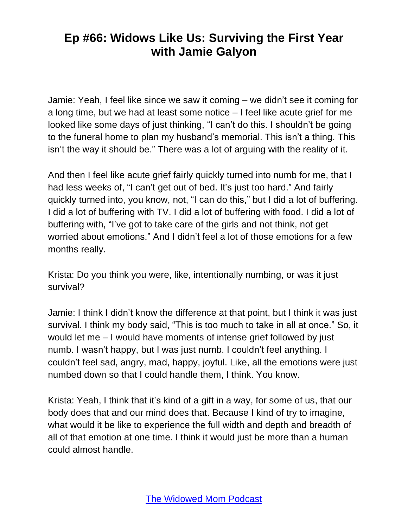Jamie: Yeah, I feel like since we saw it coming – we didn't see it coming for a long time, but we had at least some notice – I feel like acute grief for me looked like some days of just thinking, "I can't do this. I shouldn't be going to the funeral home to plan my husband's memorial. This isn't a thing. This isn't the way it should be." There was a lot of arguing with the reality of it.

And then I feel like acute grief fairly quickly turned into numb for me, that I had less weeks of, "I can't get out of bed. It's just too hard." And fairly quickly turned into, you know, not, "I can do this," but I did a lot of buffering. I did a lot of buffering with TV. I did a lot of buffering with food. I did a lot of buffering with, "I've got to take care of the girls and not think, not get worried about emotions." And I didn't feel a lot of those emotions for a few months really.

Krista: Do you think you were, like, intentionally numbing, or was it just survival?

Jamie: I think I didn't know the difference at that point, but I think it was just survival. I think my body said, "This is too much to take in all at once." So, it would let me – I would have moments of intense grief followed by just numb. I wasn't happy, but I was just numb. I couldn't feel anything. I couldn't feel sad, angry, mad, happy, joyful. Like, all the emotions were just numbed down so that I could handle them, I think. You know.

Krista: Yeah, I think that it's kind of a gift in a way, for some of us, that our body does that and our mind does that. Because I kind of try to imagine, what would it be like to experience the full width and depth and breadth of all of that emotion at one time. I think it would just be more than a human could almost handle.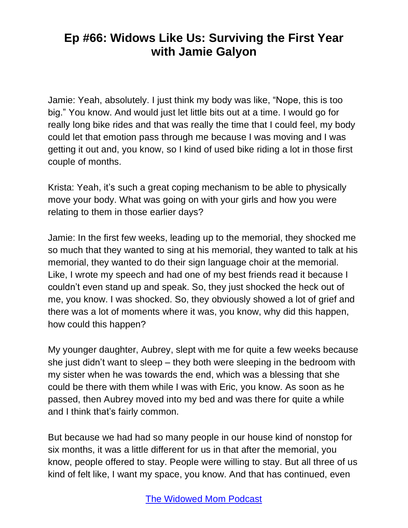Jamie: Yeah, absolutely. I just think my body was like, "Nope, this is too big." You know. And would just let little bits out at a time. I would go for really long bike rides and that was really the time that I could feel, my body could let that emotion pass through me because I was moving and I was getting it out and, you know, so I kind of used bike riding a lot in those first couple of months.

Krista: Yeah, it's such a great coping mechanism to be able to physically move your body. What was going on with your girls and how you were relating to them in those earlier days?

Jamie: In the first few weeks, leading up to the memorial, they shocked me so much that they wanted to sing at his memorial, they wanted to talk at his memorial, they wanted to do their sign language choir at the memorial. Like, I wrote my speech and had one of my best friends read it because I couldn't even stand up and speak. So, they just shocked the heck out of me, you know. I was shocked. So, they obviously showed a lot of grief and there was a lot of moments where it was, you know, why did this happen, how could this happen?

My younger daughter, Aubrey, slept with me for quite a few weeks because she just didn't want to sleep – they both were sleeping in the bedroom with my sister when he was towards the end, which was a blessing that she could be there with them while I was with Eric, you know. As soon as he passed, then Aubrey moved into my bed and was there for quite a while and I think that's fairly common.

But because we had had so many people in our house kind of nonstop for six months, it was a little different for us in that after the memorial, you know, people offered to stay. People were willing to stay. But all three of us kind of felt like, I want my space, you know. And that has continued, even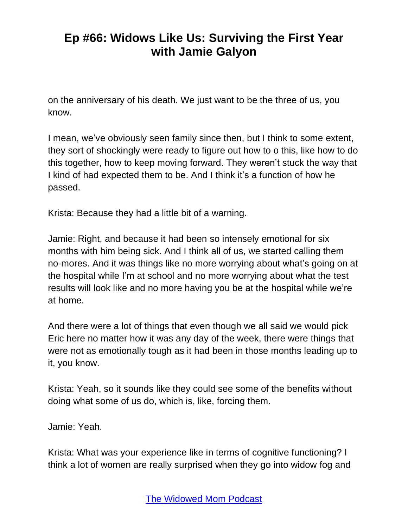on the anniversary of his death. We just want to be the three of us, you know.

I mean, we've obviously seen family since then, but I think to some extent, they sort of shockingly were ready to figure out how to o this, like how to do this together, how to keep moving forward. They weren't stuck the way that I kind of had expected them to be. And I think it's a function of how he passed.

Krista: Because they had a little bit of a warning.

Jamie: Right, and because it had been so intensely emotional for six months with him being sick. And I think all of us, we started calling them no-mores. And it was things like no more worrying about what's going on at the hospital while I'm at school and no more worrying about what the test results will look like and no more having you be at the hospital while we're at home.

And there were a lot of things that even though we all said we would pick Eric here no matter how it was any day of the week, there were things that were not as emotionally tough as it had been in those months leading up to it, you know.

Krista: Yeah, so it sounds like they could see some of the benefits without doing what some of us do, which is, like, forcing them.

Jamie: Yeah.

Krista: What was your experience like in terms of cognitive functioning? I think a lot of women are really surprised when they go into widow fog and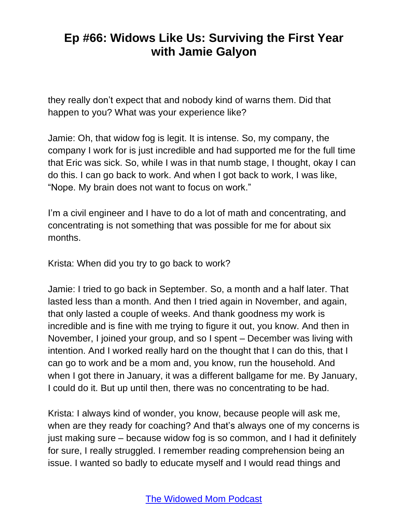they really don't expect that and nobody kind of warns them. Did that happen to you? What was your experience like?

Jamie: Oh, that widow fog is legit. It is intense. So, my company, the company I work for is just incredible and had supported me for the full time that Eric was sick. So, while I was in that numb stage, I thought, okay I can do this. I can go back to work. And when I got back to work, I was like, "Nope. My brain does not want to focus on work."

I'm a civil engineer and I have to do a lot of math and concentrating, and concentrating is not something that was possible for me for about six months.

Krista: When did you try to go back to work?

Jamie: I tried to go back in September. So, a month and a half later. That lasted less than a month. And then I tried again in November, and again, that only lasted a couple of weeks. And thank goodness my work is incredible and is fine with me trying to figure it out, you know. And then in November, I joined your group, and so I spent – December was living with intention. And I worked really hard on the thought that I can do this, that I can go to work and be a mom and, you know, run the household. And when I got there in January, it was a different ballgame for me. By January, I could do it. But up until then, there was no concentrating to be had.

Krista: I always kind of wonder, you know, because people will ask me, when are they ready for coaching? And that's always one of my concerns is just making sure – because widow fog is so common, and I had it definitely for sure, I really struggled. I remember reading comprehension being an issue. I wanted so badly to educate myself and I would read things and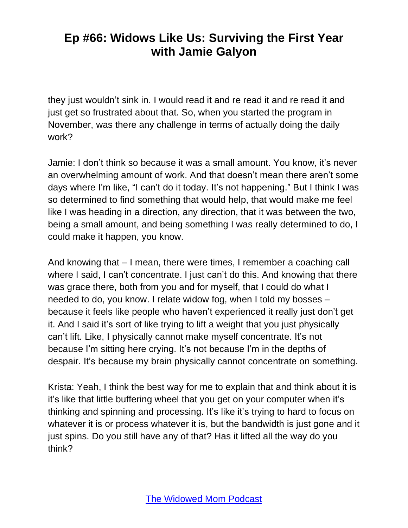they just wouldn't sink in. I would read it and re read it and re read it and just get so frustrated about that. So, when you started the program in November, was there any challenge in terms of actually doing the daily work?

Jamie: I don't think so because it was a small amount. You know, it's never an overwhelming amount of work. And that doesn't mean there aren't some days where I'm like, "I can't do it today. It's not happening." But I think I was so determined to find something that would help, that would make me feel like I was heading in a direction, any direction, that it was between the two, being a small amount, and being something I was really determined to do, I could make it happen, you know.

And knowing that – I mean, there were times, I remember a coaching call where I said, I can't concentrate. I just can't do this. And knowing that there was grace there, both from you and for myself, that I could do what I needed to do, you know. I relate widow fog, when I told my bosses – because it feels like people who haven't experienced it really just don't get it. And I said it's sort of like trying to lift a weight that you just physically can't lift. Like, I physically cannot make myself concentrate. It's not because I'm sitting here crying. It's not because I'm in the depths of despair. It's because my brain physically cannot concentrate on something.

Krista: Yeah, I think the best way for me to explain that and think about it is it's like that little buffering wheel that you get on your computer when it's thinking and spinning and processing. It's like it's trying to hard to focus on whatever it is or process whatever it is, but the bandwidth is just gone and it just spins. Do you still have any of that? Has it lifted all the way do you think?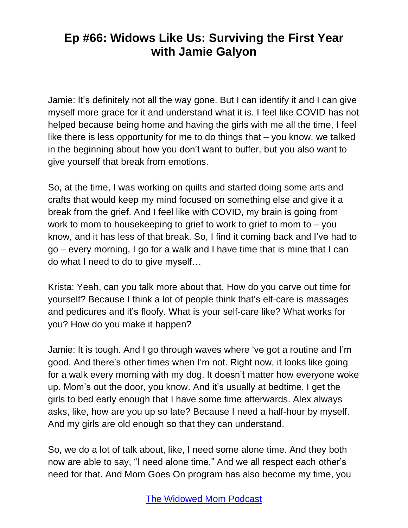Jamie: It's definitely not all the way gone. But I can identify it and I can give myself more grace for it and understand what it is. I feel like COVID has not helped because being home and having the girls with me all the time, I feel like there is less opportunity for me to do things that – you know, we talked in the beginning about how you don't want to buffer, but you also want to give yourself that break from emotions.

So, at the time, I was working on quilts and started doing some arts and crafts that would keep my mind focused on something else and give it a break from the grief. And I feel like with COVID, my brain is going from work to mom to housekeeping to grief to work to grief to mom to – you know, and it has less of that break. So, I find it coming back and I've had to go – every morning, I go for a walk and I have time that is mine that I can do what I need to do to give myself…

Krista: Yeah, can you talk more about that. How do you carve out time for yourself? Because I think a lot of people think that's elf-care is massages and pedicures and it's floofy. What is your self-care like? What works for you? How do you make it happen?

Jamie: It is tough. And I go through waves where 've got a routine and I'm good. And there's other times when I'm not. Right now, it looks like going for a walk every morning with my dog. It doesn't matter how everyone woke up. Mom's out the door, you know. And it's usually at bedtime. I get the girls to bed early enough that I have some time afterwards. Alex always asks, like, how are you up so late? Because I need a half-hour by myself. And my girls are old enough so that they can understand.

So, we do a lot of talk about, like, I need some alone time. And they both now are able to say, "I need alone time." And we all respect each other's need for that. And Mom Goes On program has also become my time, you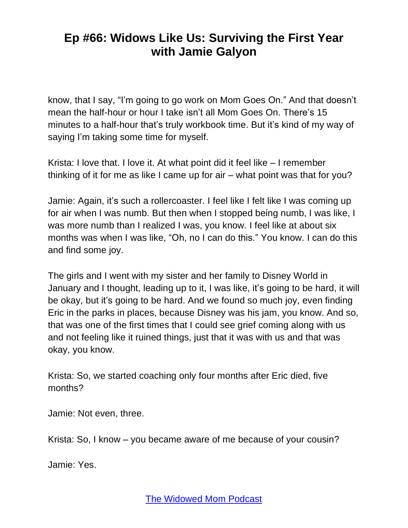know, that I say, "I'm going to go work on Mom Goes On." And that doesn't mean the half-hour or hour I take isn't all Mom Goes On. There's 15 minutes to a half-hour that's truly workbook time. But it's kind of my way of saying I'm taking some time for myself.

Krista: I love that. I love it. At what point did it feel like – I remember thinking of it for me as like I came up for air – what point was that for you?

Jamie: Again, it's such a rollercoaster. I feel like I felt like I was coming up for air when I was numb. But then when I stopped being numb, I was like, I was more numb than I realized I was, you know. I feel like at about six months was when I was like, "Oh, no I can do this." You know. I can do this and find some joy.

The girls and I went with my sister and her family to Disney World in January and I thought, leading up to it, I was like, it's going to be hard, it will be okay, but it's going to be hard. And we found so much joy, even finding Eric in the parks in places, because Disney was his jam, you know. And so, that was one of the first times that I could see grief coming along with us and not feeling like it ruined things, just that it was with us and that was okay, you know.

Krista: So, we started coaching only four months after Eric died, five months?

Jamie: Not even, three.

Krista: So, I know – you became aware of me because of your cousin?

Jamie: Yes.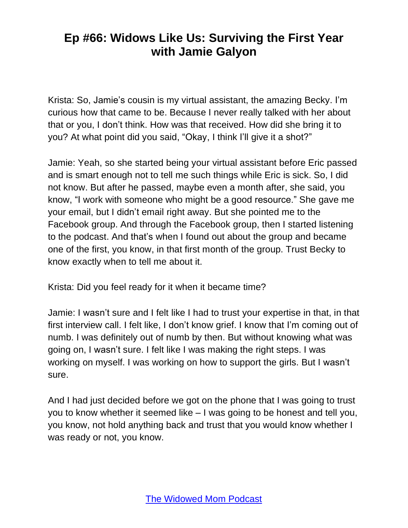Krista: So, Jamie's cousin is my virtual assistant, the amazing Becky. I'm curious how that came to be. Because I never really talked with her about that or you, I don't think. How was that received. How did she bring it to you? At what point did you said, "Okay, I think I'll give it a shot?"

Jamie: Yeah, so she started being your virtual assistant before Eric passed and is smart enough not to tell me such things while Eric is sick. So, I did not know. But after he passed, maybe even a month after, she said, you know, "I work with someone who might be a good resource." She gave me your email, but I didn't email right away. But she pointed me to the Facebook group. And through the Facebook group, then I started listening to the podcast. And that's when I found out about the group and became one of the first, you know, in that first month of the group. Trust Becky to know exactly when to tell me about it.

Krista: Did you feel ready for it when it became time?

Jamie: I wasn't sure and I felt like I had to trust your expertise in that, in that first interview call. I felt like, I don't know grief. I know that I'm coming out of numb. I was definitely out of numb by then. But without knowing what was going on, I wasn't sure. I felt like I was making the right steps. I was working on myself. I was working on how to support the girls. But I wasn't sure.

And I had just decided before we got on the phone that I was going to trust you to know whether it seemed like – I was going to be honest and tell you, you know, not hold anything back and trust that you would know whether I was ready or not, you know.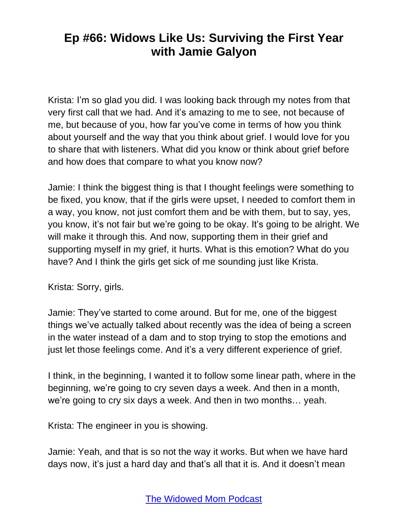Krista: I'm so glad you did. I was looking back through my notes from that very first call that we had. And it's amazing to me to see, not because of me, but because of you, how far you've come in terms of how you think about yourself and the way that you think about grief. I would love for you to share that with listeners. What did you know or think about grief before and how does that compare to what you know now?

Jamie: I think the biggest thing is that I thought feelings were something to be fixed, you know, that if the girls were upset, I needed to comfort them in a way, you know, not just comfort them and be with them, but to say, yes, you know, it's not fair but we're going to be okay. It's going to be alright. We will make it through this. And now, supporting them in their grief and supporting myself in my grief, it hurts. What is this emotion? What do you have? And I think the girls get sick of me sounding just like Krista.

Krista: Sorry, girls.

Jamie: They've started to come around. But for me, one of the biggest things we've actually talked about recently was the idea of being a screen in the water instead of a dam and to stop trying to stop the emotions and just let those feelings come. And it's a very different experience of grief.

I think, in the beginning, I wanted it to follow some linear path, where in the beginning, we're going to cry seven days a week. And then in a month, we're going to cry six days a week. And then in two months… yeah.

Krista: The engineer in you is showing.

Jamie: Yeah, and that is so not the way it works. But when we have hard days now, it's just a hard day and that's all that it is. And it doesn't mean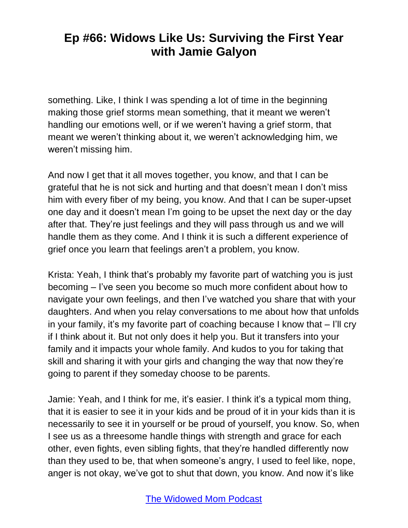something. Like, I think I was spending a lot of time in the beginning making those grief storms mean something, that it meant we weren't handling our emotions well, or if we weren't having a grief storm, that meant we weren't thinking about it, we weren't acknowledging him, we weren't missing him.

And now I get that it all moves together, you know, and that I can be grateful that he is not sick and hurting and that doesn't mean I don't miss him with every fiber of my being, you know. And that I can be super-upset one day and it doesn't mean I'm going to be upset the next day or the day after that. They're just feelings and they will pass through us and we will handle them as they come. And I think it is such a different experience of grief once you learn that feelings aren't a problem, you know.

Krista: Yeah, I think that's probably my favorite part of watching you is just becoming – I've seen you become so much more confident about how to navigate your own feelings, and then I've watched you share that with your daughters. And when you relay conversations to me about how that unfolds in your family, it's my favorite part of coaching because I know that – I'll cry if I think about it. But not only does it help you. But it transfers into your family and it impacts your whole family. And kudos to you for taking that skill and sharing it with your girls and changing the way that now they're going to parent if they someday choose to be parents.

Jamie: Yeah, and I think for me, it's easier. I think it's a typical mom thing, that it is easier to see it in your kids and be proud of it in your kids than it is necessarily to see it in yourself or be proud of yourself, you know. So, when I see us as a threesome handle things with strength and grace for each other, even fights, even sibling fights, that they're handled differently now than they used to be, that when someone's angry, I used to feel like, nope, anger is not okay, we've got to shut that down, you know. And now it's like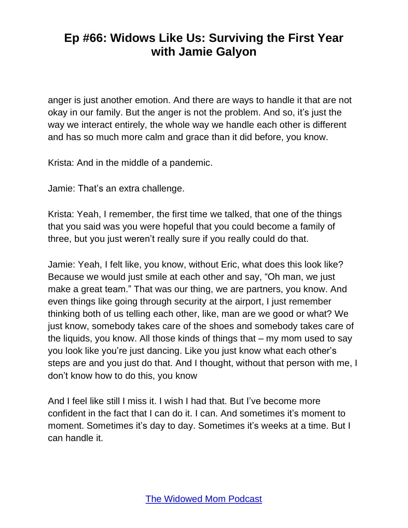anger is just another emotion. And there are ways to handle it that are not okay in our family. But the anger is not the problem. And so, it's just the way we interact entirely, the whole way we handle each other is different and has so much more calm and grace than it did before, you know.

Krista: And in the middle of a pandemic.

Jamie: That's an extra challenge.

Krista: Yeah, I remember, the first time we talked, that one of the things that you said was you were hopeful that you could become a family of three, but you just weren't really sure if you really could do that.

Jamie: Yeah, I felt like, you know, without Eric, what does this look like? Because we would just smile at each other and say, "Oh man, we just make a great team." That was our thing, we are partners, you know. And even things like going through security at the airport, I just remember thinking both of us telling each other, like, man are we good or what? We just know, somebody takes care of the shoes and somebody takes care of the liquids, you know. All those kinds of things that – my mom used to say you look like you're just dancing. Like you just know what each other's steps are and you just do that. And I thought, without that person with me, I don't know how to do this, you know

And I feel like still I miss it. I wish I had that. But I've become more confident in the fact that I can do it. I can. And sometimes it's moment to moment. Sometimes it's day to day. Sometimes it's weeks at a time. But I can handle it.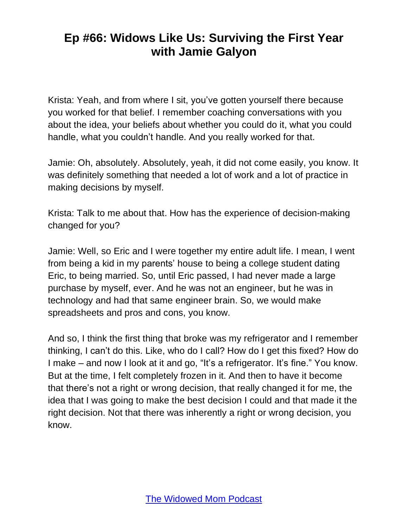Krista: Yeah, and from where I sit, you've gotten yourself there because you worked for that belief. I remember coaching conversations with you about the idea, your beliefs about whether you could do it, what you could handle, what you couldn't handle. And you really worked for that.

Jamie: Oh, absolutely. Absolutely, yeah, it did not come easily, you know. It was definitely something that needed a lot of work and a lot of practice in making decisions by myself.

Krista: Talk to me about that. How has the experience of decision-making changed for you?

Jamie: Well, so Eric and I were together my entire adult life. I mean, I went from being a kid in my parents' house to being a college student dating Eric, to being married. So, until Eric passed, I had never made a large purchase by myself, ever. And he was not an engineer, but he was in technology and had that same engineer brain. So, we would make spreadsheets and pros and cons, you know.

And so, I think the first thing that broke was my refrigerator and I remember thinking, I can't do this. Like, who do I call? How do I get this fixed? How do I make – and now I look at it and go, "It's a refrigerator. It's fine." You know. But at the time, I felt completely frozen in it. And then to have it become that there's not a right or wrong decision, that really changed it for me, the idea that I was going to make the best decision I could and that made it the right decision. Not that there was inherently a right or wrong decision, you know.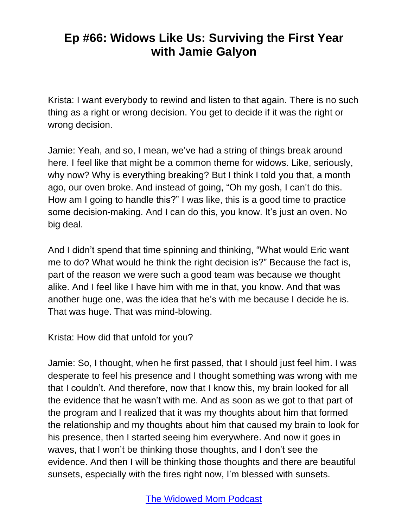Krista: I want everybody to rewind and listen to that again. There is no such thing as a right or wrong decision. You get to decide if it was the right or wrong decision.

Jamie: Yeah, and so, I mean, we've had a string of things break around here. I feel like that might be a common theme for widows. Like, seriously, why now? Why is everything breaking? But I think I told you that, a month ago, our oven broke. And instead of going, "Oh my gosh, I can't do this. How am I going to handle this?" I was like, this is a good time to practice some decision-making. And I can do this, you know. It's just an oven. No big deal.

And I didn't spend that time spinning and thinking, "What would Eric want me to do? What would he think the right decision is?" Because the fact is, part of the reason we were such a good team was because we thought alike. And I feel like I have him with me in that, you know. And that was another huge one, was the idea that he's with me because I decide he is. That was huge. That was mind-blowing.

Krista: How did that unfold for you?

Jamie: So, I thought, when he first passed, that I should just feel him. I was desperate to feel his presence and I thought something was wrong with me that I couldn't. And therefore, now that I know this, my brain looked for all the evidence that he wasn't with me. And as soon as we got to that part of the program and I realized that it was my thoughts about him that formed the relationship and my thoughts about him that caused my brain to look for his presence, then I started seeing him everywhere. And now it goes in waves, that I won't be thinking those thoughts, and I don't see the evidence. And then I will be thinking those thoughts and there are beautiful sunsets, especially with the fires right now, I'm blessed with sunsets.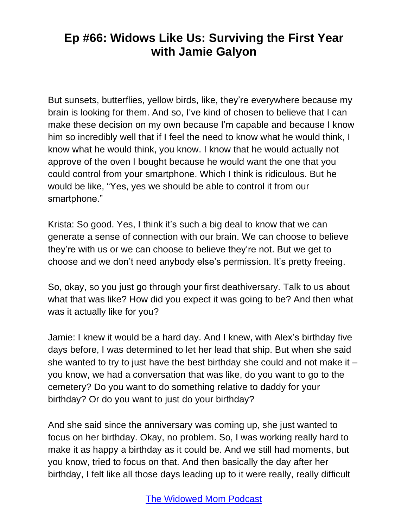But sunsets, butterflies, yellow birds, like, they're everywhere because my brain is looking for them. And so, I've kind of chosen to believe that I can make these decision on my own because I'm capable and because I know him so incredibly well that if I feel the need to know what he would think, I know what he would think, you know. I know that he would actually not approve of the oven I bought because he would want the one that you could control from your smartphone. Which I think is ridiculous. But he would be like, "Yes, yes we should be able to control it from our smartphone."

Krista: So good. Yes, I think it's such a big deal to know that we can generate a sense of connection with our brain. We can choose to believe they're with us or we can choose to believe they're not. But we get to choose and we don't need anybody else's permission. It's pretty freeing.

So, okay, so you just go through your first deathiversary. Talk to us about what that was like? How did you expect it was going to be? And then what was it actually like for you?

Jamie: I knew it would be a hard day. And I knew, with Alex's birthday five days before, I was determined to let her lead that ship. But when she said she wanted to try to just have the best birthday she could and not make it – you know, we had a conversation that was like, do you want to go to the cemetery? Do you want to do something relative to daddy for your birthday? Or do you want to just do your birthday?

And she said since the anniversary was coming up, she just wanted to focus on her birthday. Okay, no problem. So, I was working really hard to make it as happy a birthday as it could be. And we still had moments, but you know, tried to focus on that. And then basically the day after her birthday, I felt like all those days leading up to it were really, really difficult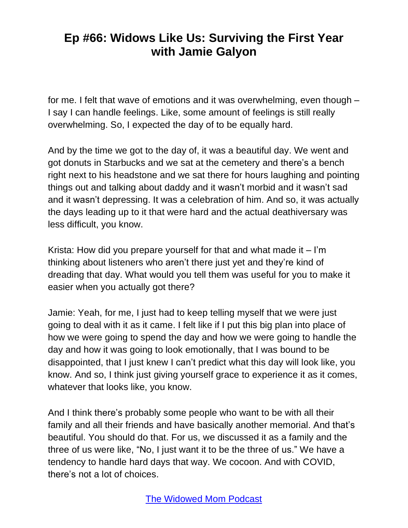for me. I felt that wave of emotions and it was overwhelming, even though – I say I can handle feelings. Like, some amount of feelings is still really overwhelming. So, I expected the day of to be equally hard.

And by the time we got to the day of, it was a beautiful day. We went and got donuts in Starbucks and we sat at the cemetery and there's a bench right next to his headstone and we sat there for hours laughing and pointing things out and talking about daddy and it wasn't morbid and it wasn't sad and it wasn't depressing. It was a celebration of him. And so, it was actually the days leading up to it that were hard and the actual deathiversary was less difficult, you know.

Krista: How did you prepare yourself for that and what made it  $-1<sup>'</sup>m$ thinking about listeners who aren't there just yet and they're kind of dreading that day. What would you tell them was useful for you to make it easier when you actually got there?

Jamie: Yeah, for me, I just had to keep telling myself that we were just going to deal with it as it came. I felt like if I put this big plan into place of how we were going to spend the day and how we were going to handle the day and how it was going to look emotionally, that I was bound to be disappointed, that I just knew I can't predict what this day will look like, you know. And so, I think just giving yourself grace to experience it as it comes, whatever that looks like, you know.

And I think there's probably some people who want to be with all their family and all their friends and have basically another memorial. And that's beautiful. You should do that. For us, we discussed it as a family and the three of us were like, "No, I just want it to be the three of us." We have a tendency to handle hard days that way. We cocoon. And with COVID, there's not a lot of choices.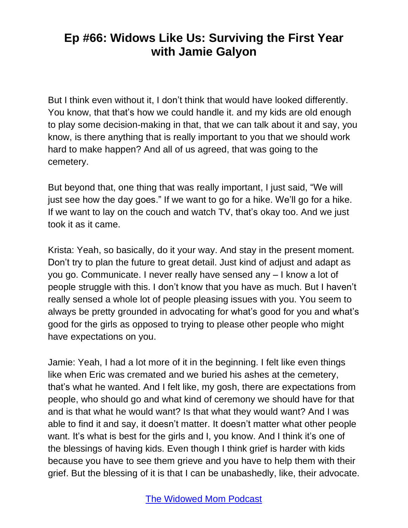But I think even without it, I don't think that would have looked differently. You know, that that's how we could handle it. and my kids are old enough to play some decision-making in that, that we can talk about it and say, you know, is there anything that is really important to you that we should work hard to make happen? And all of us agreed, that was going to the cemetery.

But beyond that, one thing that was really important, I just said, "We will just see how the day goes." If we want to go for a hike. We'll go for a hike. If we want to lay on the couch and watch TV, that's okay too. And we just took it as it came.

Krista: Yeah, so basically, do it your way. And stay in the present moment. Don't try to plan the future to great detail. Just kind of adjust and adapt as you go. Communicate. I never really have sensed any – I know a lot of people struggle with this. I don't know that you have as much. But I haven't really sensed a whole lot of people pleasing issues with you. You seem to always be pretty grounded in advocating for what's good for you and what's good for the girls as opposed to trying to please other people who might have expectations on you.

Jamie: Yeah, I had a lot more of it in the beginning. I felt like even things like when Eric was cremated and we buried his ashes at the cemetery, that's what he wanted. And I felt like, my gosh, there are expectations from people, who should go and what kind of ceremony we should have for that and is that what he would want? Is that what they would want? And I was able to find it and say, it doesn't matter. It doesn't matter what other people want. It's what is best for the girls and I, you know. And I think it's one of the blessings of having kids. Even though I think grief is harder with kids because you have to see them grieve and you have to help them with their grief. But the blessing of it is that I can be unabashedly, like, their advocate.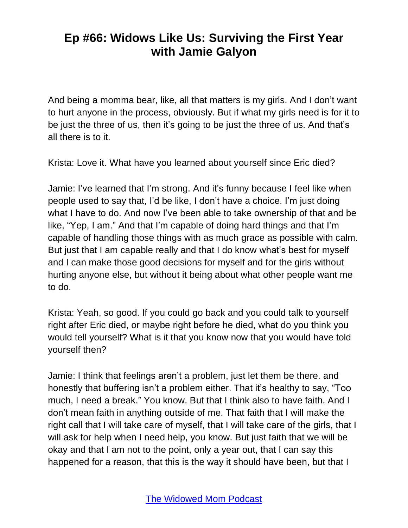And being a momma bear, like, all that matters is my girls. And I don't want to hurt anyone in the process, obviously. But if what my girls need is for it to be just the three of us, then it's going to be just the three of us. And that's all there is to it.

Krista: Love it. What have you learned about yourself since Eric died?

Jamie: I've learned that I'm strong. And it's funny because I feel like when people used to say that, I'd be like, I don't have a choice. I'm just doing what I have to do. And now I've been able to take ownership of that and be like, "Yep, I am." And that I'm capable of doing hard things and that I'm capable of handling those things with as much grace as possible with calm. But just that I am capable really and that I do know what's best for myself and I can make those good decisions for myself and for the girls without hurting anyone else, but without it being about what other people want me to do.

Krista: Yeah, so good. If you could go back and you could talk to yourself right after Eric died, or maybe right before he died, what do you think you would tell yourself? What is it that you know now that you would have told yourself then?

Jamie: I think that feelings aren't a problem, just let them be there. and honestly that buffering isn't a problem either. That it's healthy to say, "Too much, I need a break." You know. But that I think also to have faith. And I don't mean faith in anything outside of me. That faith that I will make the right call that I will take care of myself, that I will take care of the girls, that I will ask for help when I need help, you know. But just faith that we will be okay and that I am not to the point, only a year out, that I can say this happened for a reason, that this is the way it should have been, but that I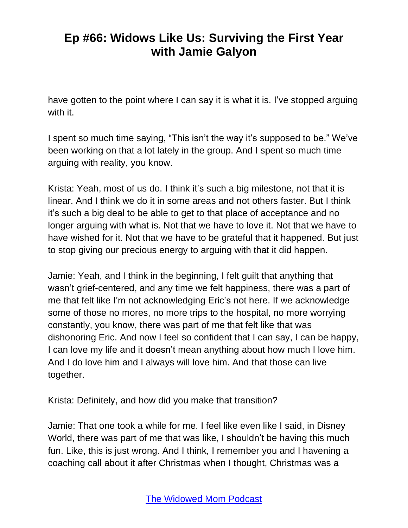have gotten to the point where I can say it is what it is. I've stopped arguing with it.

I spent so much time saying, "This isn't the way it's supposed to be." We've been working on that a lot lately in the group. And I spent so much time arguing with reality, you know.

Krista: Yeah, most of us do. I think it's such a big milestone, not that it is linear. And I think we do it in some areas and not others faster. But I think it's such a big deal to be able to get to that place of acceptance and no longer arguing with what is. Not that we have to love it. Not that we have to have wished for it. Not that we have to be grateful that it happened. But just to stop giving our precious energy to arguing with that it did happen.

Jamie: Yeah, and I think in the beginning, I felt guilt that anything that wasn't grief-centered, and any time we felt happiness, there was a part of me that felt like I'm not acknowledging Eric's not here. If we acknowledge some of those no mores, no more trips to the hospital, no more worrying constantly, you know, there was part of me that felt like that was dishonoring Eric. And now I feel so confident that I can say, I can be happy, I can love my life and it doesn't mean anything about how much I love him. And I do love him and I always will love him. And that those can live together.

Krista: Definitely, and how did you make that transition?

Jamie: That one took a while for me. I feel like even like I said, in Disney World, there was part of me that was like, I shouldn't be having this much fun. Like, this is just wrong. And I think, I remember you and I havening a coaching call about it after Christmas when I thought, Christmas was a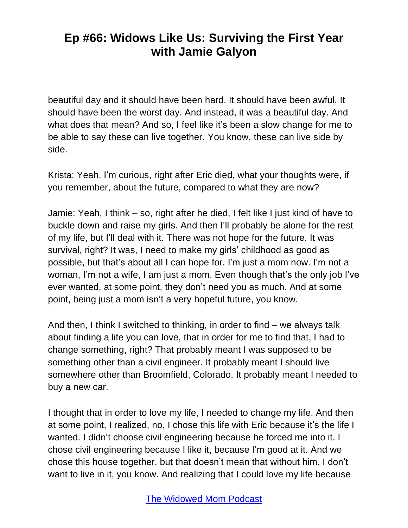beautiful day and it should have been hard. It should have been awful. It should have been the worst day. And instead, it was a beautiful day. And what does that mean? And so, I feel like it's been a slow change for me to be able to say these can live together. You know, these can live side by side.

Krista: Yeah. I'm curious, right after Eric died, what your thoughts were, if you remember, about the future, compared to what they are now?

Jamie: Yeah, I think – so, right after he died, I felt like I just kind of have to buckle down and raise my girls. And then I'll probably be alone for the rest of my life, but I'll deal with it. There was not hope for the future. It was survival, right? It was, I need to make my girls' childhood as good as possible, but that's about all I can hope for. I'm just a mom now. I'm not a woman, I'm not a wife, I am just a mom. Even though that's the only job I've ever wanted, at some point, they don't need you as much. And at some point, being just a mom isn't a very hopeful future, you know.

And then, I think I switched to thinking, in order to find – we always talk about finding a life you can love, that in order for me to find that, I had to change something, right? That probably meant I was supposed to be something other than a civil engineer. It probably meant I should live somewhere other than Broomfield, Colorado. It probably meant I needed to buy a new car.

I thought that in order to love my life, I needed to change my life. And then at some point, I realized, no, I chose this life with Eric because it's the life I wanted. I didn't choose civil engineering because he forced me into it. I chose civil engineering because I like it, because I'm good at it. And we chose this house together, but that doesn't mean that without him, I don't want to live in it, you know. And realizing that I could love my life because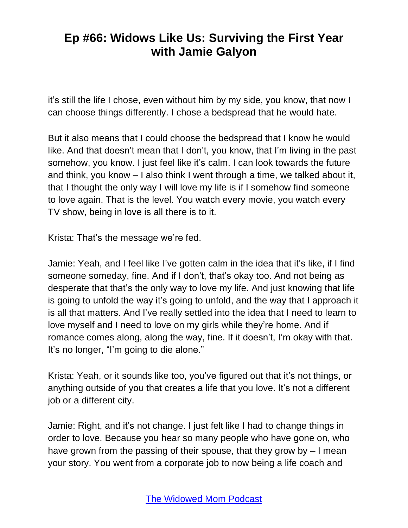it's still the life I chose, even without him by my side, you know, that now I can choose things differently. I chose a bedspread that he would hate.

But it also means that I could choose the bedspread that I know he would like. And that doesn't mean that I don't, you know, that I'm living in the past somehow, you know. I just feel like it's calm. I can look towards the future and think, you know – I also think I went through a time, we talked about it, that I thought the only way I will love my life is if I somehow find someone to love again. That is the level. You watch every movie, you watch every TV show, being in love is all there is to it.

Krista: That's the message we're fed.

Jamie: Yeah, and I feel like I've gotten calm in the idea that it's like, if I find someone someday, fine. And if I don't, that's okay too. And not being as desperate that that's the only way to love my life. And just knowing that life is going to unfold the way it's going to unfold, and the way that I approach it is all that matters. And I've really settled into the idea that I need to learn to love myself and I need to love on my girls while they're home. And if romance comes along, along the way, fine. If it doesn't, I'm okay with that. It's no longer, "I'm going to die alone."

Krista: Yeah, or it sounds like too, you've figured out that it's not things, or anything outside of you that creates a life that you love. It's not a different job or a different city.

Jamie: Right, and it's not change. I just felt like I had to change things in order to love. Because you hear so many people who have gone on, who have grown from the passing of their spouse, that they grow by – I mean your story. You went from a corporate job to now being a life coach and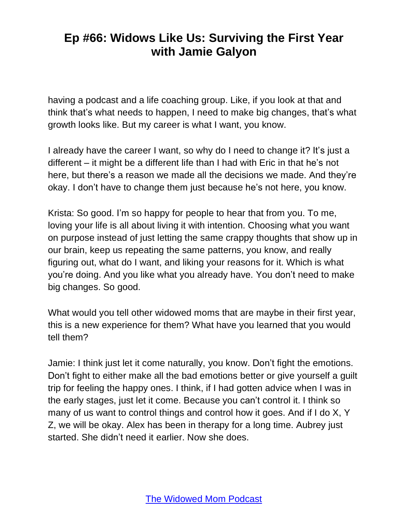having a podcast and a life coaching group. Like, if you look at that and think that's what needs to happen, I need to make big changes, that's what growth looks like. But my career is what I want, you know.

I already have the career I want, so why do I need to change it? It's just a different – it might be a different life than I had with Eric in that he's not here, but there's a reason we made all the decisions we made. And they're okay. I don't have to change them just because he's not here, you know.

Krista: So good. I'm so happy for people to hear that from you. To me, loving your life is all about living it with intention. Choosing what you want on purpose instead of just letting the same crappy thoughts that show up in our brain, keep us repeating the same patterns, you know, and really figuring out, what do I want, and liking your reasons for it. Which is what you're doing. And you like what you already have. You don't need to make big changes. So good.

What would you tell other widowed moms that are maybe in their first year, this is a new experience for them? What have you learned that you would tell them?

Jamie: I think just let it come naturally, you know. Don't fight the emotions. Don't fight to either make all the bad emotions better or give yourself a guilt trip for feeling the happy ones. I think, if I had gotten advice when I was in the early stages, just let it come. Because you can't control it. I think so many of us want to control things and control how it goes. And if I do X, Y Z, we will be okay. Alex has been in therapy for a long time. Aubrey just started. She didn't need it earlier. Now she does.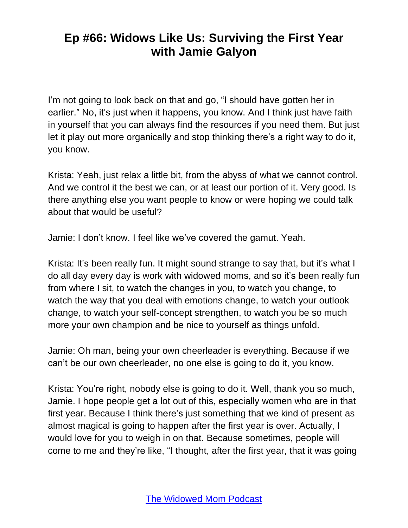I'm not going to look back on that and go, "I should have gotten her in earlier." No, it's just when it happens, you know. And I think just have faith in yourself that you can always find the resources if you need them. But just let it play out more organically and stop thinking there's a right way to do it, you know.

Krista: Yeah, just relax a little bit, from the abyss of what we cannot control. And we control it the best we can, or at least our portion of it. Very good. Is there anything else you want people to know or were hoping we could talk about that would be useful?

Jamie: I don't know. I feel like we've covered the gamut. Yeah.

Krista: It's been really fun. It might sound strange to say that, but it's what I do all day every day is work with widowed moms, and so it's been really fun from where I sit, to watch the changes in you, to watch you change, to watch the way that you deal with emotions change, to watch your outlook change, to watch your self-concept strengthen, to watch you be so much more your own champion and be nice to yourself as things unfold.

Jamie: Oh man, being your own cheerleader is everything. Because if we can't be our own cheerleader, no one else is going to do it, you know.

Krista: You're right, nobody else is going to do it. Well, thank you so much, Jamie. I hope people get a lot out of this, especially women who are in that first year. Because I think there's just something that we kind of present as almost magical is going to happen after the first year is over. Actually, I would love for you to weigh in on that. Because sometimes, people will come to me and they're like, "I thought, after the first year, that it was going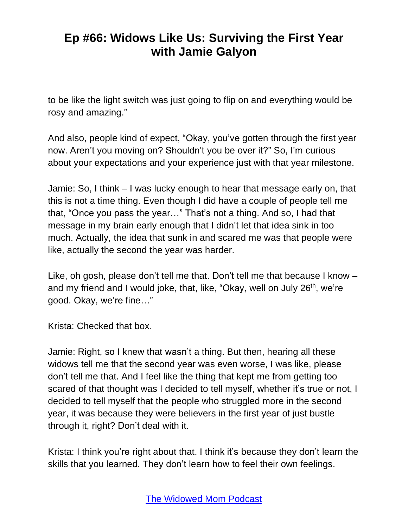to be like the light switch was just going to flip on and everything would be rosy and amazing."

And also, people kind of expect, "Okay, you've gotten through the first year now. Aren't you moving on? Shouldn't you be over it?" So, I'm curious about your expectations and your experience just with that year milestone.

Jamie: So, I think – I was lucky enough to hear that message early on, that this is not a time thing. Even though I did have a couple of people tell me that, "Once you pass the year…" That's not a thing. And so, I had that message in my brain early enough that I didn't let that idea sink in too much. Actually, the idea that sunk in and scared me was that people were like, actually the second the year was harder.

Like, oh gosh, please don't tell me that. Don't tell me that because I know – and my friend and I would joke, that, like, "Okay, well on July 26<sup>th</sup>, we're good. Okay, we're fine…"

Krista: Checked that box.

Jamie: Right, so I knew that wasn't a thing. But then, hearing all these widows tell me that the second year was even worse, I was like, please don't tell me that. And I feel like the thing that kept me from getting too scared of that thought was I decided to tell myself, whether it's true or not, I decided to tell myself that the people who struggled more in the second year, it was because they were believers in the first year of just bustle through it, right? Don't deal with it.

Krista: I think you're right about that. I think it's because they don't learn the skills that you learned. They don't learn how to feel their own feelings.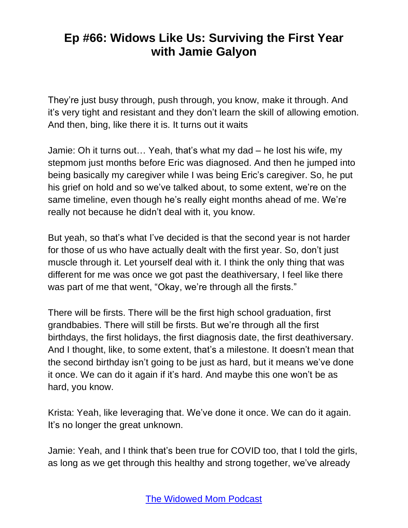They're just busy through, push through, you know, make it through. And it's very tight and resistant and they don't learn the skill of allowing emotion. And then, bing, like there it is. It turns out it waits

Jamie: Oh it turns out… Yeah, that's what my dad – he lost his wife, my stepmom just months before Eric was diagnosed. And then he jumped into being basically my caregiver while I was being Eric's caregiver. So, he put his grief on hold and so we've talked about, to some extent, we're on the same timeline, even though he's really eight months ahead of me. We're really not because he didn't deal with it, you know.

But yeah, so that's what I've decided is that the second year is not harder for those of us who have actually dealt with the first year. So, don't just muscle through it. Let yourself deal with it. I think the only thing that was different for me was once we got past the deathiversary, I feel like there was part of me that went, "Okay, we're through all the firsts."

There will be firsts. There will be the first high school graduation, first grandbabies. There will still be firsts. But we're through all the first birthdays, the first holidays, the first diagnosis date, the first deathiversary. And I thought, like, to some extent, that's a milestone. It doesn't mean that the second birthday isn't going to be just as hard, but it means we've done it once. We can do it again if it's hard. And maybe this one won't be as hard, you know.

Krista: Yeah, like leveraging that. We've done it once. We can do it again. It's no longer the great unknown.

Jamie: Yeah, and I think that's been true for COVID too, that I told the girls, as long as we get through this healthy and strong together, we've already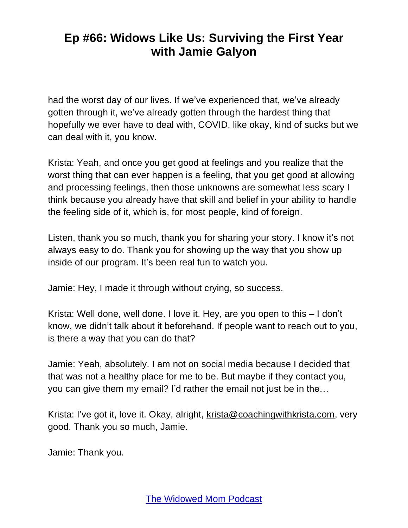had the worst day of our lives. If we've experienced that, we've already gotten through it, we've already gotten through the hardest thing that hopefully we ever have to deal with, COVID, like okay, kind of sucks but we can deal with it, you know.

Krista: Yeah, and once you get good at feelings and you realize that the worst thing that can ever happen is a feeling, that you get good at allowing and processing feelings, then those unknowns are somewhat less scary I think because you already have that skill and belief in your ability to handle the feeling side of it, which is, for most people, kind of foreign.

Listen, thank you so much, thank you for sharing your story. I know it's not always easy to do. Thank you for showing up the way that you show up inside of our program. It's been real fun to watch you.

Jamie: Hey, I made it through without crying, so success.

Krista: Well done, well done. I love it. Hey, are you open to this – I don't know, we didn't talk about it beforehand. If people want to reach out to you, is there a way that you can do that?

Jamie: Yeah, absolutely. I am not on social media because I decided that that was not a healthy place for me to be. But maybe if they contact you, you can give them my email? I'd rather the email not just be in the…

Krista: I've got it, love it. Okay, alright, [krista@coachingwithkrista.com,](mailto:krista@coachingwithkrista.com) very good. Thank you so much, Jamie.

Jamie: Thank you.